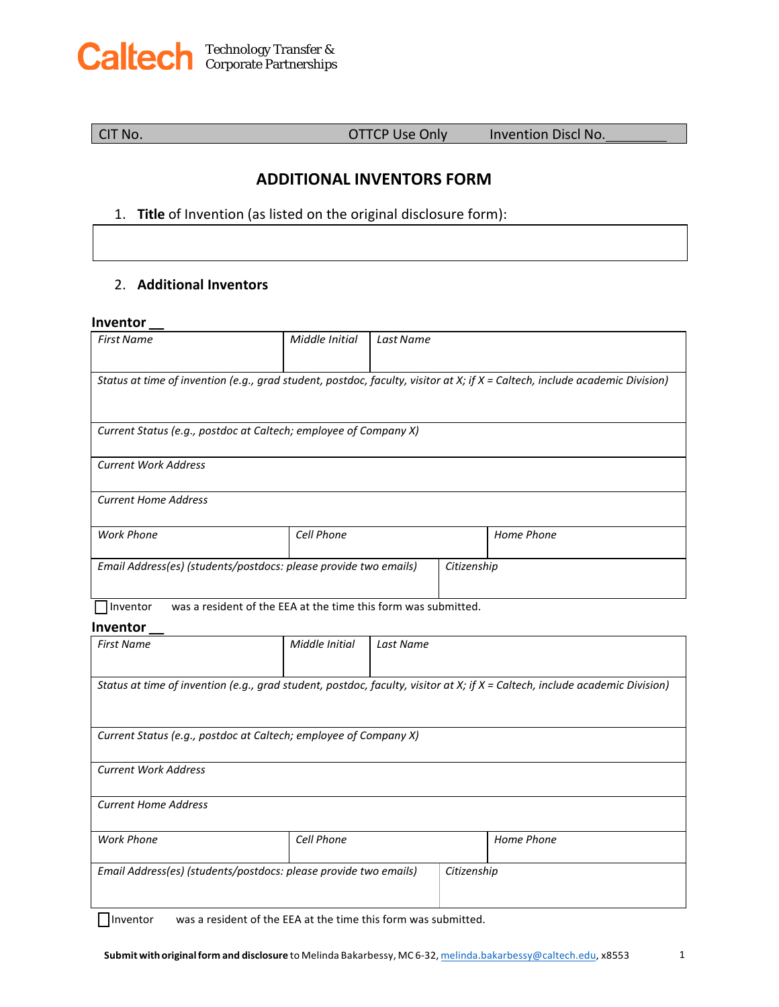

CIT No. OTTCP Use Only Invention Discl No.

## **ADDITIONAL INVENTORS FORM**

## 1. **Title** of Invention (as listed on the original disclosure form):

## 2. **Additional Inventors**

### **Inventor \_\_**

| <b>First Name</b>                                                                                                           | Middle Initial | Last Name |             |            |  |
|-----------------------------------------------------------------------------------------------------------------------------|----------------|-----------|-------------|------------|--|
|                                                                                                                             |                |           |             |            |  |
| Status at time of invention (e.g., grad student, postdoc, faculty, visitor at X; if X = Caltech, include academic Division) |                |           |             |            |  |
|                                                                                                                             |                |           |             |            |  |
|                                                                                                                             |                |           |             |            |  |
| Current Status (e.g., postdoc at Caltech; employee of Company X)                                                            |                |           |             |            |  |
| <b>Current Work Address</b>                                                                                                 |                |           |             |            |  |
|                                                                                                                             |                |           |             |            |  |
| <b>Current Home Address</b>                                                                                                 |                |           |             |            |  |
|                                                                                                                             |                |           |             |            |  |
| Cell Phone<br><b>Work Phone</b>                                                                                             |                |           |             | Home Phone |  |
|                                                                                                                             |                |           |             |            |  |
| Email Address(es) (students/postdocs: please provide two emails)                                                            |                |           | Citizenship |            |  |
|                                                                                                                             |                |           |             |            |  |
| was a resident of the EEA at the time this form was submitted.<br>Inventor                                                  |                |           |             |            |  |
| Inventor                                                                                                                    |                |           |             |            |  |
| <b>First Name</b>                                                                                                           | Middle Initial | Last Name |             |            |  |
|                                                                                                                             |                |           |             |            |  |
| Status at time of invention (e.g., grad student, postdoc, faculty, visitor at X; if X = Caltech, include academic Division) |                |           |             |            |  |
|                                                                                                                             |                |           |             |            |  |
|                                                                                                                             |                |           |             |            |  |
| Current Status (e.g., postdoc at Caltech; employee of Company X)                                                            |                |           |             |            |  |
|                                                                                                                             |                |           |             |            |  |
| <b>Current Work Address</b>                                                                                                 |                |           |             |            |  |
|                                                                                                                             |                |           |             |            |  |
| <b>Current Home Address</b>                                                                                                 |                |           |             |            |  |
|                                                                                                                             |                |           |             |            |  |
|                                                                                                                             | Cell Phone     |           |             | Home Phone |  |
| <b>Work Phone</b>                                                                                                           |                |           |             |            |  |
|                                                                                                                             |                |           |             |            |  |
| Email Address(es) (students/postdocs: please provide two emails)                                                            |                |           | Citizenship |            |  |